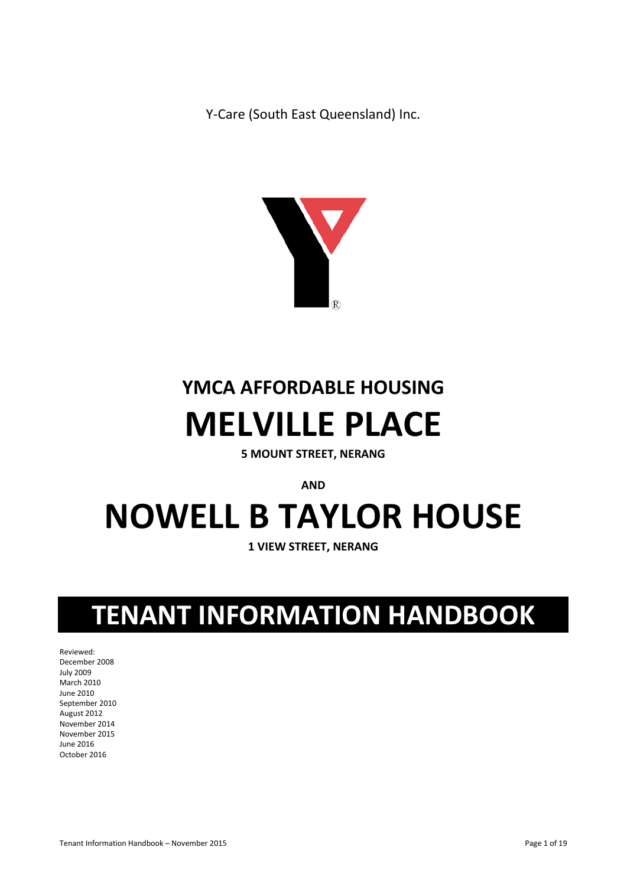Y-Care (South East Queensland) Inc.



# **YMCA AFFORDABLE HOUSING MELVILLE PLACE**

**5 MOUNT STREET, NERANG**

**AND** 

# **NOWELL B TAYLOR HOUSE**

**1 VIEW STREET, NERANG**

# **TENANT INFORMATION HANDBOOK**

Reviewed: December 2008 July 2009 March 2010 June 2010 September 2010 August 2012 November 2014 November 2015 June 2016 October 2016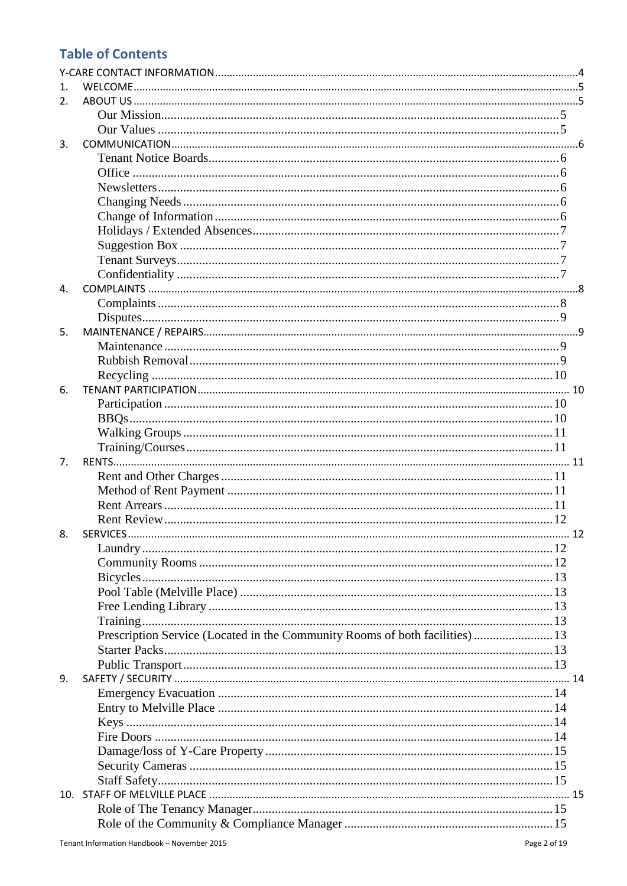# **Table of Contents**

| 1.             |                                                                             |  |
|----------------|-----------------------------------------------------------------------------|--|
| 2.             |                                                                             |  |
|                |                                                                             |  |
|                |                                                                             |  |
| 3.             |                                                                             |  |
|                |                                                                             |  |
|                |                                                                             |  |
|                |                                                                             |  |
|                |                                                                             |  |
|                |                                                                             |  |
|                |                                                                             |  |
|                |                                                                             |  |
|                |                                                                             |  |
|                |                                                                             |  |
| $\mathbf{4}$ . |                                                                             |  |
|                |                                                                             |  |
|                |                                                                             |  |
| 5.             |                                                                             |  |
|                |                                                                             |  |
|                |                                                                             |  |
|                |                                                                             |  |
| 6.             |                                                                             |  |
|                |                                                                             |  |
|                |                                                                             |  |
|                |                                                                             |  |
|                |                                                                             |  |
| 7.             |                                                                             |  |
|                |                                                                             |  |
|                |                                                                             |  |
|                |                                                                             |  |
|                |                                                                             |  |
| 8.             |                                                                             |  |
|                |                                                                             |  |
|                |                                                                             |  |
|                |                                                                             |  |
|                |                                                                             |  |
|                |                                                                             |  |
|                |                                                                             |  |
|                | Prescription Service (Located in the Community Rooms of both facilities) 13 |  |
|                |                                                                             |  |
|                |                                                                             |  |
| 9.             |                                                                             |  |
|                |                                                                             |  |
|                |                                                                             |  |
|                |                                                                             |  |
|                |                                                                             |  |
|                |                                                                             |  |
|                |                                                                             |  |
|                |                                                                             |  |
|                |                                                                             |  |
|                |                                                                             |  |
|                |                                                                             |  |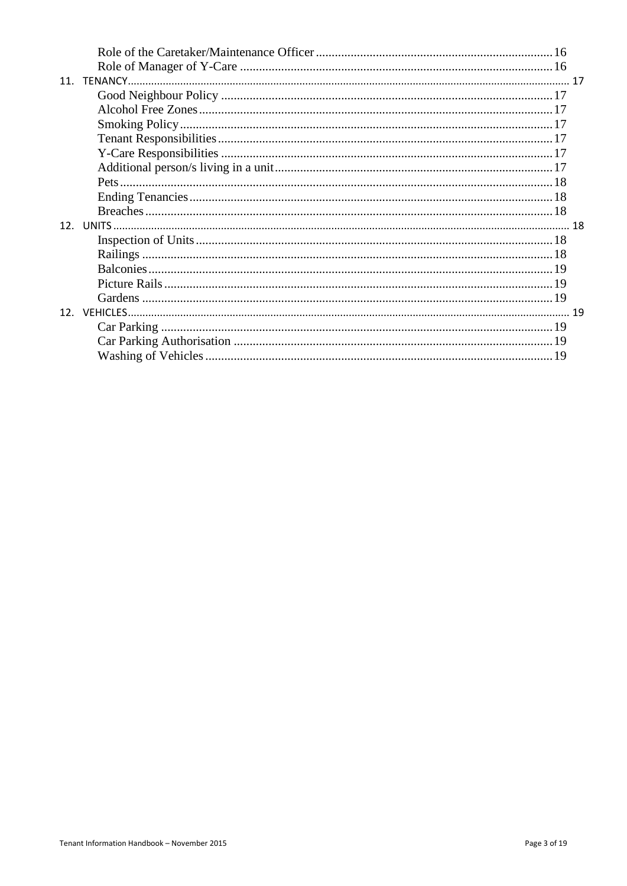| 11 <sub>1</sub> |  |
|-----------------|--|
|                 |  |
|                 |  |
|                 |  |
|                 |  |
|                 |  |
|                 |  |
|                 |  |
|                 |  |
|                 |  |
|                 |  |
|                 |  |
|                 |  |
|                 |  |
|                 |  |
|                 |  |
|                 |  |
|                 |  |
|                 |  |
|                 |  |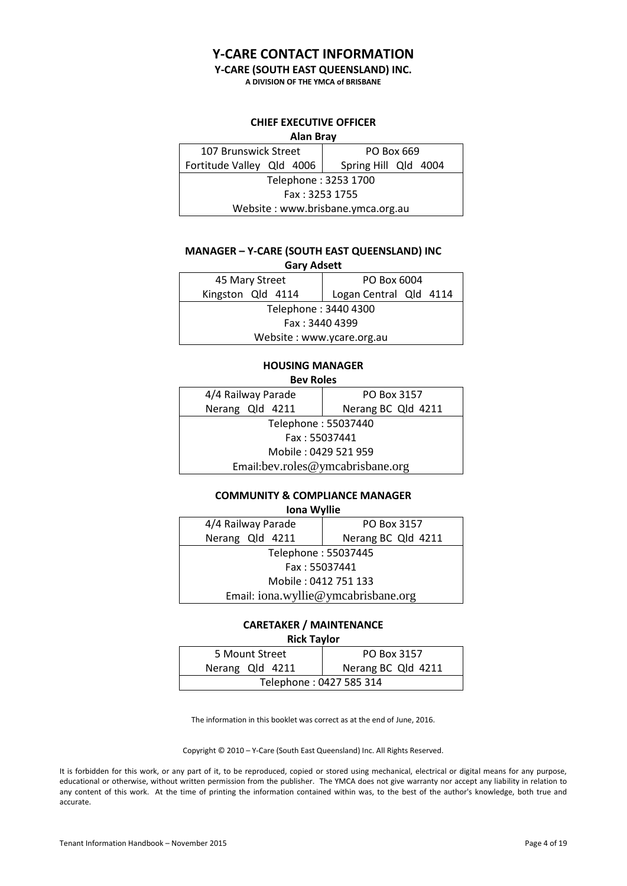# **Y-CARE CONTACT INFORMATION**

#### **Y-CARE (SOUTH EAST QUEENSLAND) INC.**

**A DIVISION OF THE YMCA of BRISBANE**

#### **CHIEF EXECUTIVE OFFICER**

<span id="page-3-0"></span>

| <b>Alan Bray</b>                  |                      |  |  |
|-----------------------------------|----------------------|--|--|
| 107 Brunswick Street              | PO Box 669           |  |  |
| Fortitude Valley Qld 4006         | Spring Hill Qld 4004 |  |  |
| Telephone: 3253 1700              |                      |  |  |
| Fax: 3253 1755                    |                      |  |  |
| Website: www.brisbane.ymca.org.au |                      |  |  |

#### **MANAGER – Y-CARE (SOUTH EAST QUEENSLAND) INC**

| <b>Gary Adsett</b>        |                        |  |  |
|---------------------------|------------------------|--|--|
| 45 Mary Street            | PO Box 6004            |  |  |
| Kingston Qld 4114         | Logan Central Qld 4114 |  |  |
| Telephone: 3440 4300      |                        |  |  |
| Fax: 3440 4399            |                        |  |  |
| Website: www.ycare.org.au |                        |  |  |

#### **HOUSING MANAGER Bev Roles**

| נטושונט                          |                    |  |
|----------------------------------|--------------------|--|
| 4/4 Railway Parade               | PO Box 3157        |  |
| Nerang Qld 4211                  | Nerang BC Qld 4211 |  |
| Telephone: 55037440              |                    |  |
| Fax: 55037441                    |                    |  |
| Mobile: 0429 521 959             |                    |  |
| Email:bev.roles@ymcabrisbane.org |                    |  |

# **COMMUNITY & COMPLIANCE MANAGER**

#### **Iona Wyllie**

| 4/4 Railway Parade                  | PO Box 3157        |  |
|-------------------------------------|--------------------|--|
| Nerang Qld 4211                     | Nerang BC Qld 4211 |  |
| Telephone: 55037445                 |                    |  |
| Fax: 55037441                       |                    |  |
| Mobile: 0412 751 133                |                    |  |
| Email: iona.wyllie@ymcabrisbane.org |                    |  |

# **CARETAKER / MAINTENANCE**

**Rick Taylor**

| 5 Mount Street          | PO Box 3157        |  |
|-------------------------|--------------------|--|
| Nerang Qld 4211         | Nerang BC Qld 4211 |  |
| Telephone: 0427 585 314 |                    |  |

The information in this booklet was correct as at the end of June, 2016.

Copyright © 2010 – Y-Care (South East Queensland) Inc. All Rights Reserved.

It is forbidden for this work, or any part of it, to be reproduced, copied or stored using mechanical, electrical or digital means for any purpose, educational or otherwise, without written permission from the publisher. The YMCA does not give warranty nor accept any liability in relation to any content of this work. At the time of printing the information contained within was, to the best of the author's knowledge, both true and accurate.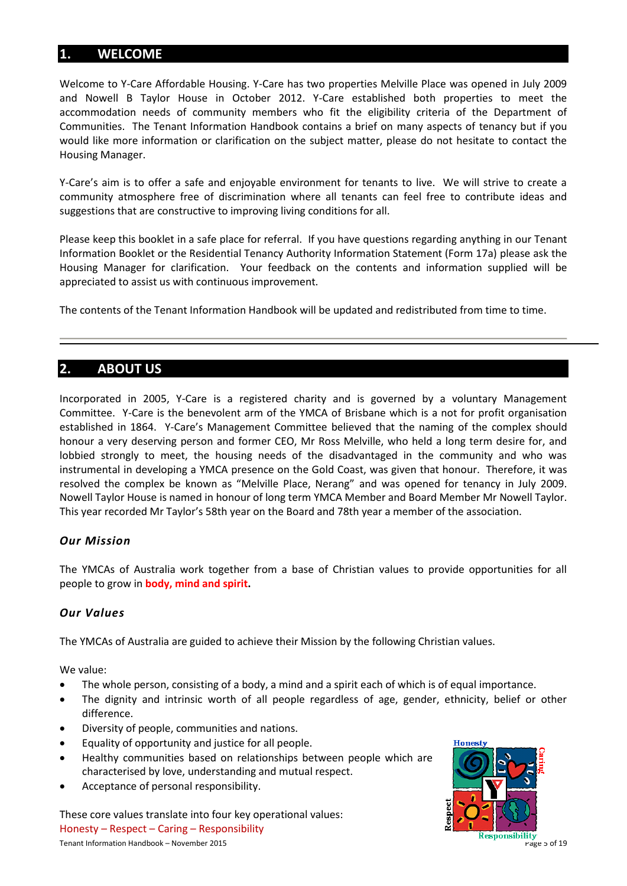# <span id="page-4-0"></span>**1. WELCOME**

Welcome to Y-Care Affordable Housing. Y-Care has two properties Melville Place was opened in July 2009 and Nowell B Taylor House in October 2012. Y-Care established both properties to meet the accommodation needs of community members who fit the eligibility criteria of the Department of Communities. The Tenant Information Handbook contains a brief on many aspects of tenancy but if you would like more information or clarification on the subject matter, please do not hesitate to contact the Housing Manager.

Y-Care's aim is to offer a safe and enjoyable environment for tenants to live. We will strive to create a community atmosphere free of discrimination where all tenants can feel free to contribute ideas and suggestions that are constructive to improving living conditions for all.

Please keep this booklet in a safe place for referral. If you have questions regarding anything in our Tenant Information Booklet or the Residential Tenancy Authority Information Statement (Form 17a) please ask the Housing Manager for clarification. Your feedback on the contents and information supplied will be appreciated to assist us with continuous improvement.

The contents of the Tenant Information Handbook will be updated and redistributed from time to time.

# <span id="page-4-1"></span>**2. ABOUT US**

Incorporated in 2005, Y-Care is a registered charity and is governed by a voluntary Management Committee. Y-Care is the benevolent arm of the YMCA of Brisbane which is a not for profit organisation established in 1864. Y-Care's Management Committee believed that the naming of the complex should honour a very deserving person and former CEO, Mr Ross Melville, who held a long term desire for, and lobbied strongly to meet, the housing needs of the disadvantaged in the community and who was instrumental in developing a YMCA presence on the Gold Coast, was given that honour. Therefore, it was resolved the complex be known as "Melville Place, Nerang" and was opened for tenancy in July 2009. Nowell Taylor House is named in honour of long term YMCA Member and Board Member Mr Nowell Taylor. This year recorded Mr Taylor's 58th year on the Board and 78th year a member of the association.

#### <span id="page-4-2"></span>*Our Mission*

The YMCAs of Australia work together from a base of Christian values to provide opportunities for all people to grow in **body, mind and spirit.**

#### <span id="page-4-3"></span>*Our Values*

The YMCAs of Australia are guided to achieve their Mission by the following Christian values.

We value:

- The whole person, consisting of a body, a mind and a spirit each of which is of equal importance.
- The dignity and intrinsic worth of all people regardless of age, gender, ethnicity, belief or other difference.
- Diversity of people, communities and nations.
- Equality of opportunity and justice for all people.
- Healthy communities based on relationships between people which are characterised by love, understanding and mutual respect.
- Acceptance of personal responsibility.

These core values translate into four key operational values: Honesty – Respect – Caring – Responsibility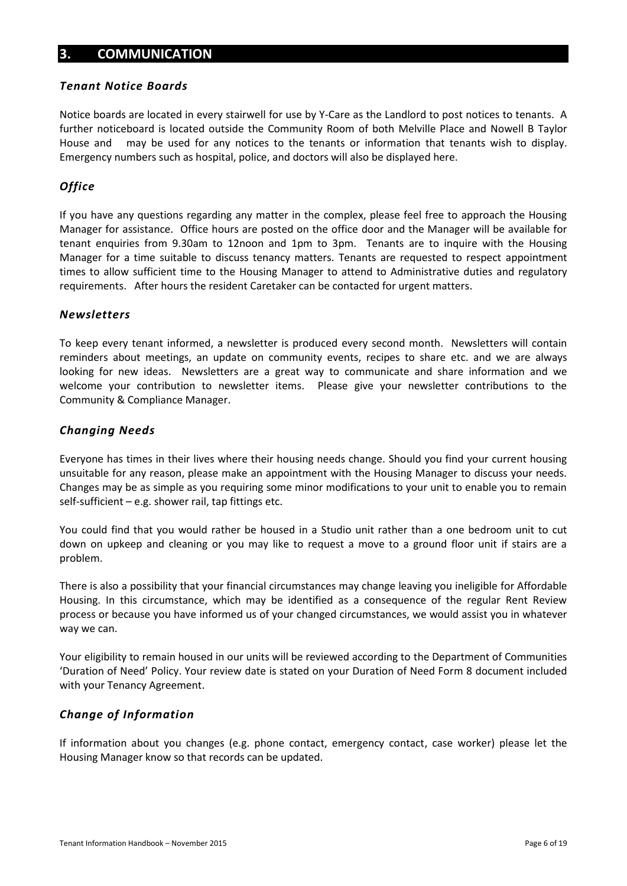# <span id="page-5-0"></span>**3. COMMUNICATION**

#### <span id="page-5-1"></span>*Tenant Notice Boards*

Notice boards are located in every stairwell for use by Y-Care as the Landlord to post notices to tenants. A further noticeboard is located outside the Community Room of both Melville Place and Nowell B Taylor House and may be used for any notices to the tenants or information that tenants wish to display. Emergency numbers such as hospital, police, and doctors will also be displayed here.

#### <span id="page-5-2"></span>*Office*

If you have any questions regarding any matter in the complex, please feel free to approach the Housing Manager for assistance. Office hours are posted on the office door and the Manager will be available for tenant enquiries from 9.30am to 12noon and 1pm to 3pm. Tenants are to inquire with the Housing Manager for a time suitable to discuss tenancy matters. Tenants are requested to respect appointment times to allow sufficient time to the Housing Manager to attend to Administrative duties and regulatory requirements. After hours the resident Caretaker can be contacted for urgent matters.

#### <span id="page-5-3"></span>*Newsletters*

To keep every tenant informed, a newsletter is produced every second month. Newsletters will contain reminders about meetings, an update on community events, recipes to share etc. and we are always looking for new ideas. Newsletters are a great way to communicate and share information and we welcome your contribution to newsletter items. Please give your newsletter contributions to the Community & Compliance Manager.

#### <span id="page-5-4"></span>*Changing Needs*

Everyone has times in their lives where their housing needs change. Should you find your current housing unsuitable for any reason, please make an appointment with the Housing Manager to discuss your needs. Changes may be as simple as you requiring some minor modifications to your unit to enable you to remain self-sufficient  $-e.g.$  shower rail, tap fittings etc.

You could find that you would rather be housed in a Studio unit rather than a one bedroom unit to cut down on upkeep and cleaning or you may like to request a move to a ground floor unit if stairs are a problem.

There is also a possibility that your financial circumstances may change leaving you ineligible for Affordable Housing. In this circumstance, which may be identified as a consequence of the regular Rent Review process or because you have informed us of your changed circumstances, we would assist you in whatever way we can.

Your eligibility to remain housed in our units will be reviewed according to the Department of Communities 'Duration of Need' Policy. Your review date is stated on your Duration of Need Form 8 document included with your Tenancy Agreement.

#### <span id="page-5-5"></span>*Change of Information*

If information about you changes (e.g. phone contact, emergency contact, case worker) please let the Housing Manager know so that records can be updated.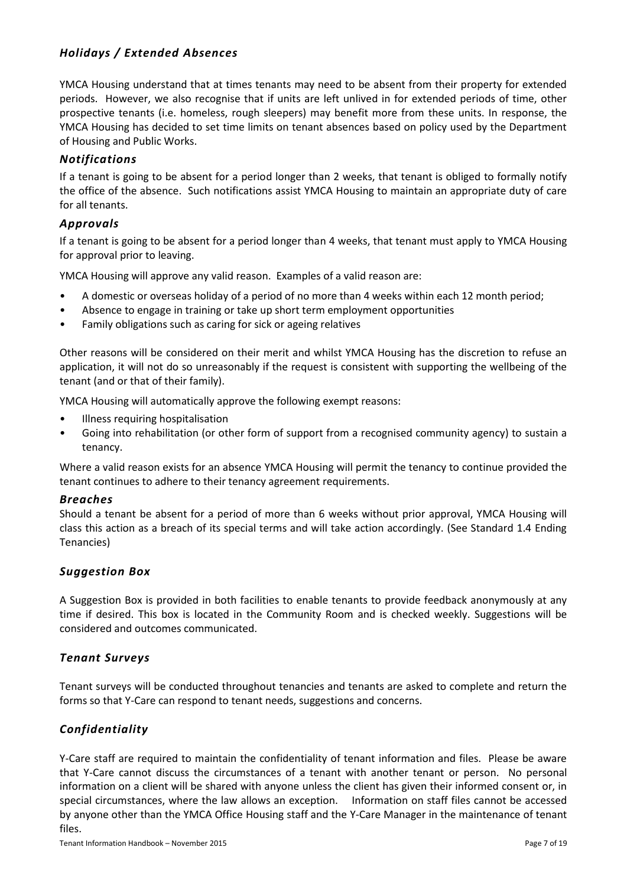# <span id="page-6-0"></span>*Holidays / Extended Absences*

YMCA Housing understand that at times tenants may need to be absent from their property for extended periods. However, we also recognise that if units are left unlived in for extended periods of time, other prospective tenants (i.e. homeless, rough sleepers) may benefit more from these units. In response, the YMCA Housing has decided to set time limits on tenant absences based on policy used by the Department of Housing and Public Works.

#### *Notifications*

If a tenant is going to be absent for a period longer than 2 weeks, that tenant is obliged to formally notify the office of the absence. Such notifications assist YMCA Housing to maintain an appropriate duty of care for all tenants.

#### *Approvals*

If a tenant is going to be absent for a period longer than 4 weeks, that tenant must apply to YMCA Housing for approval prior to leaving.

YMCA Housing will approve any valid reason. Examples of a valid reason are:

- A domestic or overseas holiday of a period of no more than 4 weeks within each 12 month period;
- Absence to engage in training or take up short term employment opportunities
- Family obligations such as caring for sick or ageing relatives

Other reasons will be considered on their merit and whilst YMCA Housing has the discretion to refuse an application, it will not do so unreasonably if the request is consistent with supporting the wellbeing of the tenant (and or that of their family).

YMCA Housing will automatically approve the following exempt reasons:

- Illness requiring hospitalisation
- Going into rehabilitation (or other form of support from a recognised community agency) to sustain a tenancy.

Where a valid reason exists for an absence YMCA Housing will permit the tenancy to continue provided the tenant continues to adhere to their tenancy agreement requirements.

#### *Breaches*

Should a tenant be absent for a period of more than 6 weeks without prior approval, YMCA Housing will class this action as a breach of its special terms and will take action accordingly. (See Standard 1.4 Ending Tenancies)

#### <span id="page-6-1"></span>*Suggestion Box*

A Suggestion Box is provided in both facilities to enable tenants to provide feedback anonymously at any time if desired. This box is located in the Community Room and is checked weekly. Suggestions will be considered and outcomes communicated.

#### <span id="page-6-2"></span>*Tenant Surveys*

Tenant surveys will be conducted throughout tenancies and tenants are asked to complete and return the forms so that Y-Care can respond to tenant needs, suggestions and concerns.

# <span id="page-6-3"></span>*Confidentiality*

Y-Care staff are required to maintain the confidentiality of tenant information and files. Please be aware that Y-Care cannot discuss the circumstances of a tenant with another tenant or person. No personal information on a client will be shared with anyone unless the client has given their informed consent or, in special circumstances, where the law allows an exception. Information on staff files cannot be accessed by anyone other than the YMCA Office Housing staff and the Y-Care Manager in the maintenance of tenant files.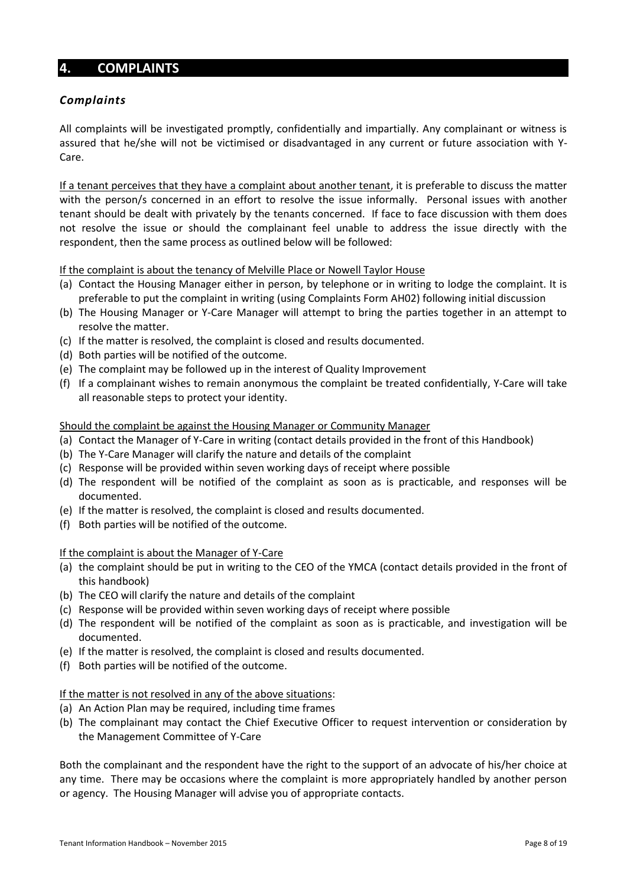# <span id="page-7-0"></span>**4. COMPLAINTS**

#### <span id="page-7-1"></span>*Complaints*

All complaints will be investigated promptly, confidentially and impartially. Any complainant or witness is assured that he/she will not be victimised or disadvantaged in any current or future association with Y-Care.

If a tenant perceives that they have a complaint about another tenant, it is preferable to discuss the matter with the person/s concerned in an effort to resolve the issue informally. Personal issues with another tenant should be dealt with privately by the tenants concerned. If face to face discussion with them does not resolve the issue or should the complainant feel unable to address the issue directly with the respondent, then the same process as outlined below will be followed:

If the complaint is about the tenancy of Melville Place or Nowell Taylor House

- (a) Contact the Housing Manager either in person, by telephone or in writing to lodge the complaint. It is preferable to put the complaint in writing (using Complaints Form AH02) following initial discussion
- (b) The Housing Manager or Y-Care Manager will attempt to bring the parties together in an attempt to resolve the matter.
- (c) If the matter is resolved, the complaint is closed and results documented.
- (d) Both parties will be notified of the outcome.
- (e) The complaint may be followed up in the interest of Quality Improvement
- (f) If a complainant wishes to remain anonymous the complaint be treated confidentially, Y-Care will take all reasonable steps to protect your identity.

#### Should the complaint be against the Housing Manager or Community Manager

- (a) Contact the Manager of Y-Care in writing (contact details provided in the front of this Handbook)
- (b) The Y-Care Manager will clarify the nature and details of the complaint
- (c) Response will be provided within seven working days of receipt where possible
- (d) The respondent will be notified of the complaint as soon as is practicable, and responses will be documented.
- (e) If the matter is resolved, the complaint is closed and results documented.
- (f) Both parties will be notified of the outcome.

#### If the complaint is about the Manager of Y-Care

- (a) the complaint should be put in writing to the CEO of the YMCA (contact details provided in the front of this handbook)
- (b) The CEO will clarify the nature and details of the complaint
- (c) Response will be provided within seven working days of receipt where possible
- (d) The respondent will be notified of the complaint as soon as is practicable, and investigation will be documented.
- (e) If the matter is resolved, the complaint is closed and results documented.
- (f) Both parties will be notified of the outcome.

#### If the matter is not resolved in any of the above situations:

- (a) An Action Plan may be required, including time frames
- (b) The complainant may contact the Chief Executive Officer to request intervention or consideration by the Management Committee of Y-Care

Both the complainant and the respondent have the right to the support of an advocate of his/her choice at any time. There may be occasions where the complaint is more appropriately handled by another person or agency. The Housing Manager will advise you of appropriate contacts.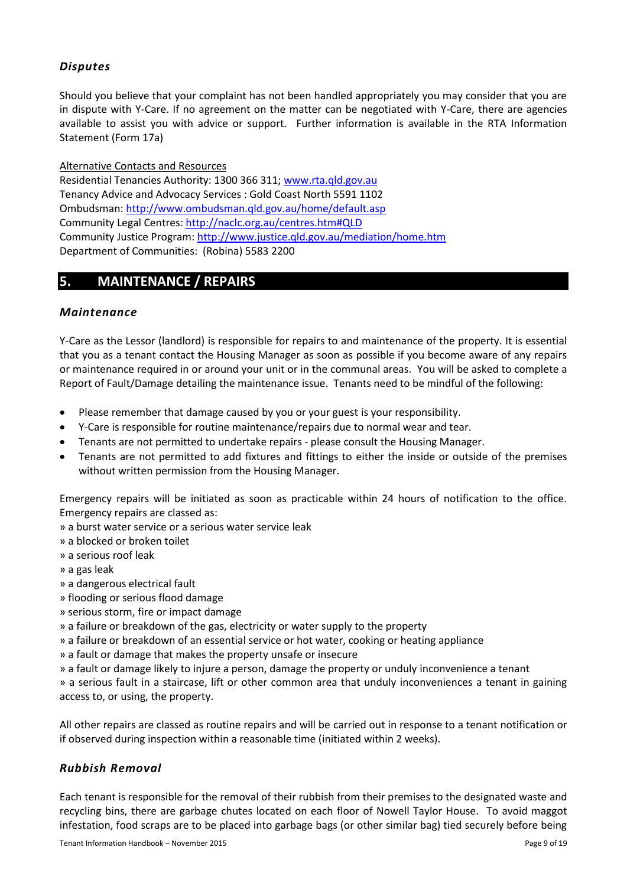# <span id="page-8-0"></span>*Disputes*

Should you believe that your complaint has not been handled appropriately you may consider that you are in dispute with Y-Care. If no agreement on the matter can be negotiated with Y-Care, there are agencies available to assist you with advice or support. Further information is available in the RTA Information Statement (Form 17a)

Alternative Contacts and Resources

Residential Tenancies Authority: 1300 366 311[; www.rta.qld.gov.au](http://www.rta.qld.gov.au/) Tenancy Advice and Advocacy Services : Gold Coast North 5591 1102 Ombudsman[: http://www.ombudsman.qld.gov.au/home/default.asp](http://www.ombudsman.qld.gov.au/home/default.asp) Community Legal Centres[: http://naclc.org.au/centres.htm#QLD](http://naclc.org.au/centres.htm#QLD) Community Justice Program:<http://www.justice.qld.gov.au/mediation/home.htm> Department of Communities: (Robina) 5583 2200

# <span id="page-8-1"></span>**5. MAINTENANCE / REPAIRS**

#### <span id="page-8-2"></span>*Maintenance*

Y-Care as the Lessor (landlord) is responsible for repairs to and maintenance of the property. It is essential that you as a tenant contact the Housing Manager as soon as possible if you become aware of any repairs or maintenance required in or around your unit or in the communal areas. You will be asked to complete a Report of Fault/Damage detailing the maintenance issue. Tenants need to be mindful of the following:

- Please remember that damage caused by you or your guest is your responsibility.
- Y-Care is responsible for routine maintenance/repairs due to normal wear and tear.
- Tenants are not permitted to undertake repairs please consult the Housing Manager.
- Tenants are not permitted to add fixtures and fittings to either the inside or outside of the premises without written permission from the Housing Manager.

Emergency repairs will be initiated as soon as practicable within 24 hours of notification to the office. Emergency repairs are classed as:

» a burst water service or a serious water service leak

» a blocked or broken toilet

» a serious roof leak

» a gas leak

- » a dangerous electrical fault
- » flooding or serious flood damage
- » serious storm, fire or impact damage

» a failure or breakdown of the gas, electricity or water supply to the property

» a failure or breakdown of an essential service or hot water, cooking or heating appliance

- » a fault or damage that makes the property unsafe or insecure
- » a fault or damage likely to injure a person, damage the property or unduly inconvenience a tenant

» a serious fault in a staircase, lift or other common area that unduly inconveniences a tenant in gaining access to, or using, the property.

All other repairs are classed as routine repairs and will be carried out in response to a tenant notification or if observed during inspection within a reasonable time (initiated within 2 weeks).

#### <span id="page-8-3"></span>*Rubbish Removal*

Each tenant is responsible for the removal of their rubbish from their premises to the designated waste and recycling bins, there are garbage chutes located on each floor of Nowell Taylor House. To avoid maggot infestation, food scraps are to be placed into garbage bags (or other similar bag) tied securely before being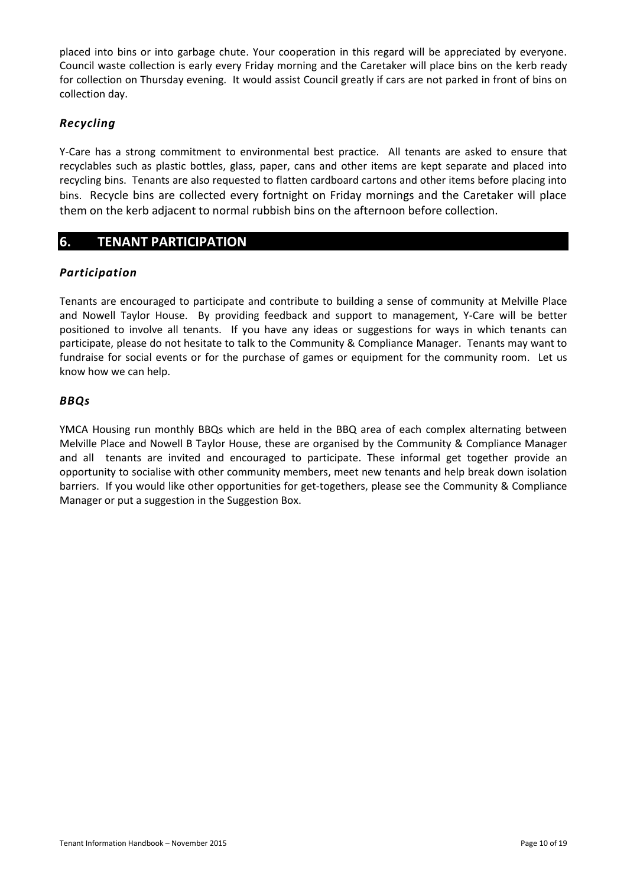placed into bins or into garbage chute. Your cooperation in this regard will be appreciated by everyone. Council waste collection is early every Friday morning and the Caretaker will place bins on the kerb ready for collection on Thursday evening. It would assist Council greatly if cars are not parked in front of bins on collection day.

#### <span id="page-9-0"></span>*Recycling*

Y-Care has a strong commitment to environmental best practice. All tenants are asked to ensure that recyclables such as plastic bottles, glass, paper, cans and other items are kept separate and placed into recycling bins. Tenants are also requested to flatten cardboard cartons and other items before placing into bins. Recycle bins are collected every fortnight on Friday mornings and the Caretaker will place them on the kerb adjacent to normal rubbish bins on the afternoon before collection.

#### <span id="page-9-1"></span>**6. TENANT PARTICIPATION**

#### <span id="page-9-2"></span>*Participation*

Tenants are encouraged to participate and contribute to building a sense of community at Melville Place and Nowell Taylor House. By providing feedback and support to management, Y-Care will be better positioned to involve all tenants. If you have any ideas or suggestions for ways in which tenants can participate, please do not hesitate to talk to the Community & Compliance Manager. Tenants may want to fundraise for social events or for the purchase of games or equipment for the community room. Let us know how we can help.

#### <span id="page-9-3"></span>*BBQs*

YMCA Housing run monthly BBQs which are held in the BBQ area of each complex alternating between Melville Place and Nowell B Taylor House, these are organised by the Community & Compliance Manager and all tenants are invited and encouraged to participate. These informal get together provide an opportunity to socialise with other community members, meet new tenants and help break down isolation barriers. If you would like other opportunities for get-togethers, please see the Community & Compliance Manager or put a suggestion in the Suggestion Box.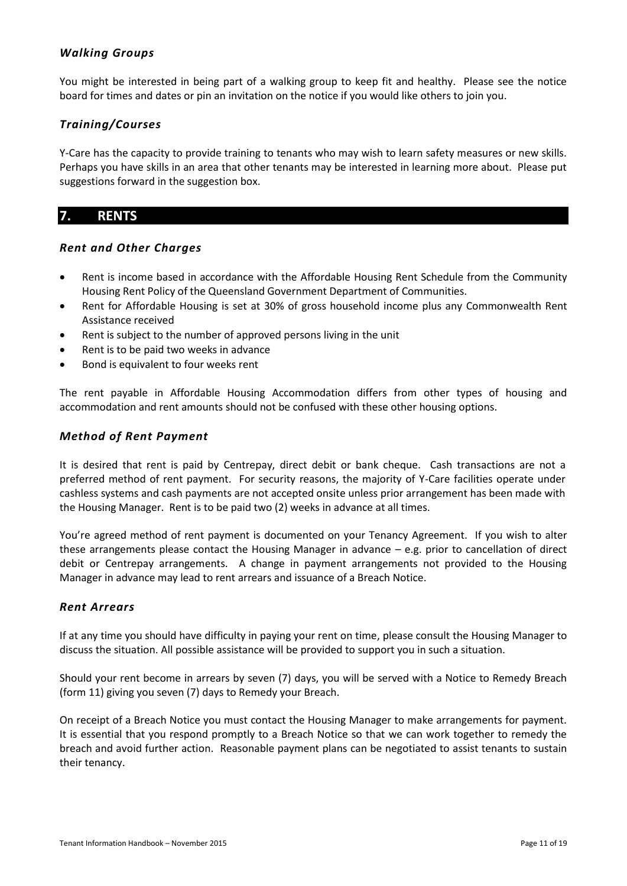#### <span id="page-10-0"></span>*Walking Groups*

You might be interested in being part of a walking group to keep fit and healthy. Please see the notice board for times and dates or pin an invitation on the notice if you would like others to join you.

#### <span id="page-10-1"></span>*Training/Courses*

Y-Care has the capacity to provide training to tenants who may wish to learn safety measures or new skills. Perhaps you have skills in an area that other tenants may be interested in learning more about. Please put suggestions forward in the suggestion box.

# <span id="page-10-2"></span>**7. RENTS**

#### <span id="page-10-3"></span>*Rent and Other Charges*

- Rent is income based in accordance with the Affordable Housing Rent Schedule from the Community Housing Rent Policy of the Queensland Government Department of Communities.
- Rent for Affordable Housing is set at 30% of gross household income plus any Commonwealth Rent Assistance received
- Rent is subject to the number of approved persons living in the unit
- Rent is to be paid two weeks in advance
- Bond is equivalent to four weeks rent

The rent payable in Affordable Housing Accommodation differs from other types of housing and accommodation and rent amounts should not be confused with these other housing options.

#### <span id="page-10-4"></span>*Method of Rent Payment*

It is desired that rent is paid by Centrepay, direct debit or bank cheque. Cash transactions are not a preferred method of rent payment. For security reasons, the majority of Y-Care facilities operate under cashless systems and cash payments are not accepted onsite unless prior arrangement has been made with the Housing Manager. Rent is to be paid two (2) weeks in advance at all times.

You're agreed method of rent payment is documented on your Tenancy Agreement. If you wish to alter these arrangements please contact the Housing Manager in advance – e.g. prior to cancellation of direct debit or Centrepay arrangements. A change in payment arrangements not provided to the Housing Manager in advance may lead to rent arrears and issuance of a Breach Notice.

#### <span id="page-10-5"></span>*Rent Arrears*

If at any time you should have difficulty in paying your rent on time, please consult the Housing Manager to discuss the situation. All possible assistance will be provided to support you in such a situation.

Should your rent become in arrears by seven (7) days, you will be served with a Notice to Remedy Breach (form 11) giving you seven (7) days to Remedy your Breach.

On receipt of a Breach Notice you must contact the Housing Manager to make arrangements for payment. It is essential that you respond promptly to a Breach Notice so that we can work together to remedy the breach and avoid further action. Reasonable payment plans can be negotiated to assist tenants to sustain their tenancy.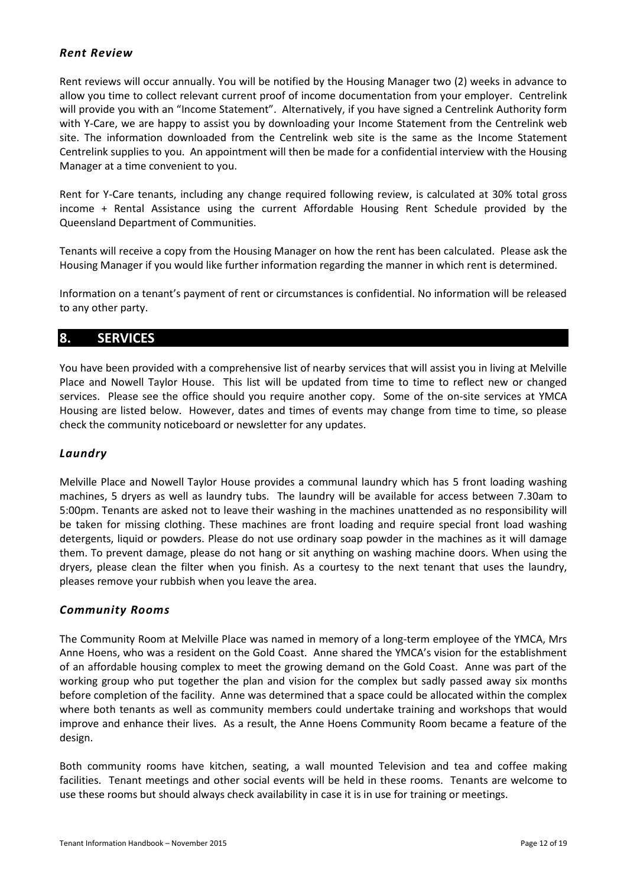#### <span id="page-11-0"></span>*Rent Review*

Rent reviews will occur annually. You will be notified by the Housing Manager two (2) weeks in advance to allow you time to collect relevant current proof of income documentation from your employer. Centrelink will provide you with an "Income Statement". Alternatively, if you have signed a Centrelink Authority form with Y-Care, we are happy to assist you by downloading your Income Statement from the Centrelink web site. The information downloaded from the Centrelink web site is the same as the Income Statement Centrelink supplies to you. An appointment will then be made for a confidential interview with the Housing Manager at a time convenient to you.

Rent for Y-Care tenants, including any change required following review, is calculated at 30% total gross income + Rental Assistance using the current Affordable Housing Rent Schedule provided by the Queensland Department of Communities.

Tenants will receive a copy from the Housing Manager on how the rent has been calculated. Please ask the Housing Manager if you would like further information regarding the manner in which rent is determined.

Information on a tenant's payment of rent or circumstances is confidential. No information will be released to any other party.

# <span id="page-11-1"></span>**8. SERVICES**

You have been provided with a comprehensive list of nearby services that will assist you in living at Melville Place and Nowell Taylor House. This list will be updated from time to time to reflect new or changed services. Please see the office should you require another copy. Some of the on-site services at YMCA Housing are listed below. However, dates and times of events may change from time to time, so please check the community noticeboard or newsletter for any updates.

#### <span id="page-11-2"></span>*Laundry*

Melville Place and Nowell Taylor House provides a communal laundry which has 5 front loading washing machines, 5 dryers as well as laundry tubs. The laundry will be available for access between 7.30am to 5:00pm. Tenants are asked not to leave their washing in the machines unattended as no responsibility will be taken for missing clothing. These machines are front loading and require special front load washing detergents, liquid or powders. Please do not use ordinary soap powder in the machines as it will damage them. To prevent damage, please do not hang or sit anything on washing machine doors. When using the dryers, please clean the filter when you finish. As a courtesy to the next tenant that uses the laundry, pleases remove your rubbish when you leave the area.

#### <span id="page-11-3"></span>*Community Rooms*

The Community Room at Melville Place was named in memory of a long-term employee of the YMCA, Mrs Anne Hoens, who was a resident on the Gold Coast. Anne shared the YMCA's vision for the establishment of an affordable housing complex to meet the growing demand on the Gold Coast. Anne was part of the working group who put together the plan and vision for the complex but sadly passed away six months before completion of the facility. Anne was determined that a space could be allocated within the complex where both tenants as well as community members could undertake training and workshops that would improve and enhance their lives. As a result, the Anne Hoens Community Room became a feature of the design.

Both community rooms have kitchen, seating, a wall mounted Television and tea and coffee making facilities. Tenant meetings and other social events will be held in these rooms. Tenants are welcome to use these rooms but should always check availability in case it is in use for training or meetings.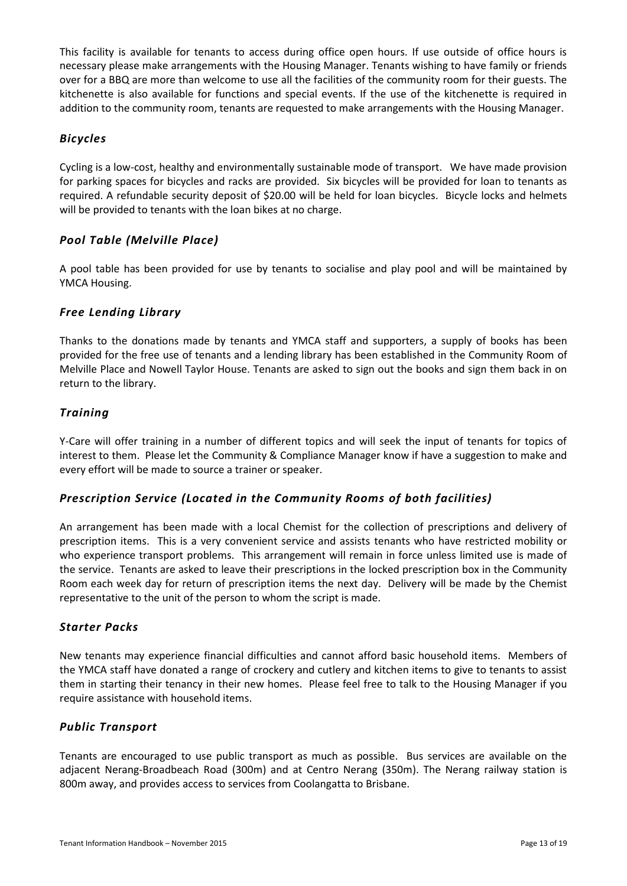This facility is available for tenants to access during office open hours. If use outside of office hours is necessary please make arrangements with the Housing Manager. Tenants wishing to have family or friends over for a BBQ are more than welcome to use all the facilities of the community room for their guests. The kitchenette is also available for functions and special events. If the use of the kitchenette is required in addition to the community room, tenants are requested to make arrangements with the Housing Manager.

#### <span id="page-12-0"></span>*Bicycles*

Cycling is a low-cost, healthy and environmentally sustainable mode of transport. We have made provision for parking spaces for bicycles and racks are provided. Six bicycles will be provided for loan to tenants as required. A refundable security deposit of \$20.00 will be held for loan bicycles. Bicycle locks and helmets will be provided to tenants with the loan bikes at no charge.

#### <span id="page-12-1"></span>*Pool Table (Melville Place)*

A pool table has been provided for use by tenants to socialise and play pool and will be maintained by YMCA Housing.

#### <span id="page-12-2"></span>*Free Lending Library*

Thanks to the donations made by tenants and YMCA staff and supporters, a supply of books has been provided for the free use of tenants and a lending library has been established in the Community Room of Melville Place and Nowell Taylor House. Tenants are asked to sign out the books and sign them back in on return to the library.

#### <span id="page-12-3"></span>*Training*

Y-Care will offer training in a number of different topics and will seek the input of tenants for topics of interest to them. Please let the Community & Compliance Manager know if have a suggestion to make and every effort will be made to source a trainer or speaker.

#### <span id="page-12-4"></span>*Prescription Service (Located in the Community Rooms of both facilities)*

An arrangement has been made with a local Chemist for the collection of prescriptions and delivery of prescription items. This is a very convenient service and assists tenants who have restricted mobility or who experience transport problems. This arrangement will remain in force unless limited use is made of the service. Tenants are asked to leave their prescriptions in the locked prescription box in the Community Room each week day for return of prescription items the next day. Delivery will be made by the Chemist representative to the unit of the person to whom the script is made.

#### <span id="page-12-5"></span>*Starter Packs*

New tenants may experience financial difficulties and cannot afford basic household items. Members of the YMCA staff have donated a range of crockery and cutlery and kitchen items to give to tenants to assist them in starting their tenancy in their new homes. Please feel free to talk to the Housing Manager if you require assistance with household items.

#### <span id="page-12-6"></span>*Public Transport*

Tenants are encouraged to use public transport as much as possible. Bus services are available on the adjacent Nerang-Broadbeach Road (300m) and at Centro Nerang (350m). The Nerang railway station is 800m away, and provides access to services from Coolangatta to Brisbane.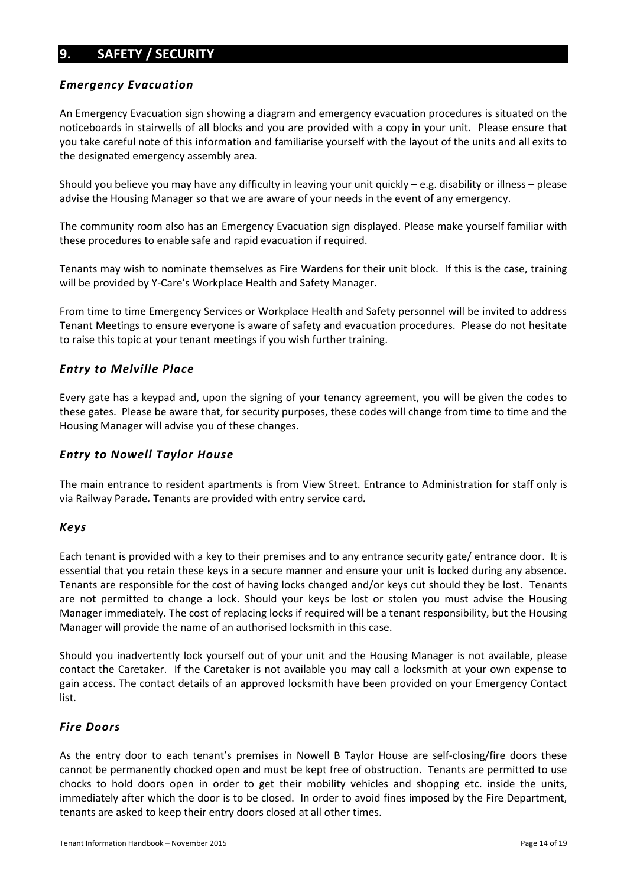# <span id="page-13-0"></span>**9. SAFETY / SECURITY**

#### <span id="page-13-1"></span>*Emergency Evacuation*

An Emergency Evacuation sign showing a diagram and emergency evacuation procedures is situated on the noticeboards in stairwells of all blocks and you are provided with a copy in your unit. Please ensure that you take careful note of this information and familiarise yourself with the layout of the units and all exits to the designated emergency assembly area.

Should you believe you may have any difficulty in leaving your unit quickly  $-e.g.$  disability or illness – please advise the Housing Manager so that we are aware of your needs in the event of any emergency.

The community room also has an Emergency Evacuation sign displayed. Please make yourself familiar with these procedures to enable safe and rapid evacuation if required.

Tenants may wish to nominate themselves as Fire Wardens for their unit block. If this is the case, training will be provided by Y-Care's Workplace Health and Safety Manager.

From time to time Emergency Services or Workplace Health and Safety personnel will be invited to address Tenant Meetings to ensure everyone is aware of safety and evacuation procedures. Please do not hesitate to raise this topic at your tenant meetings if you wish further training.

#### <span id="page-13-2"></span>*Entry to Melville Place*

Every gate has a keypad and, upon the signing of your tenancy agreement, you will be given the codes to these gates. Please be aware that, for security purposes, these codes will change from time to time and the Housing Manager will advise you of these changes.

#### *Entry to Nowell Taylor House*

The main entrance to resident apartments is from View Street. Entrance to Administration for staff only is via Railway Parade*.* Tenants are provided with entry service card*.*

#### <span id="page-13-3"></span>*Keys*

Each tenant is provided with a key to their premises and to any entrance security gate/ entrance door. It is essential that you retain these keys in a secure manner and ensure your unit is locked during any absence. Tenants are responsible for the cost of having locks changed and/or keys cut should they be lost. Tenants are not permitted to change a lock. Should your keys be lost or stolen you must advise the Housing Manager immediately. The cost of replacing locks if required will be a tenant responsibility, but the Housing Manager will provide the name of an authorised locksmith in this case.

Should you inadvertently lock yourself out of your unit and the Housing Manager is not available, please contact the Caretaker. If the Caretaker is not available you may call a locksmith at your own expense to gain access. The contact details of an approved locksmith have been provided on your Emergency Contact list.

#### <span id="page-13-4"></span>*Fire Doors*

As the entry door to each tenant's premises in Nowell B Taylor House are self-closing/fire doors these cannot be permanently chocked open and must be kept free of obstruction. Tenants are permitted to use chocks to hold doors open in order to get their mobility vehicles and shopping etc. inside the units, immediately after which the door is to be closed. In order to avoid fines imposed by the Fire Department, tenants are asked to keep their entry doors closed at all other times.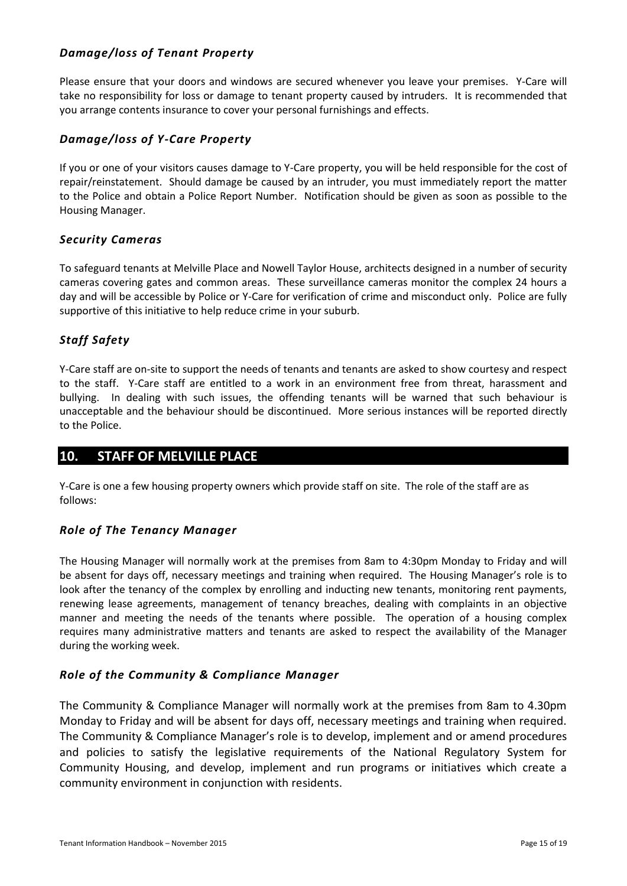## *Damage/loss of Tenant Property*

Please ensure that your doors and windows are secured whenever you leave your premises. Y-Care will take no responsibility for loss or damage to tenant property caused by intruders. It is recommended that you arrange contents insurance to cover your personal furnishings and effects.

#### <span id="page-14-0"></span>*Damage/loss of Y-Care Property*

If you or one of your visitors causes damage to Y-Care property, you will be held responsible for the cost of repair/reinstatement. Should damage be caused by an intruder, you must immediately report the matter to the Police and obtain a Police Report Number. Notification should be given as soon as possible to the Housing Manager.

#### <span id="page-14-1"></span>*Security Cameras*

To safeguard tenants at Melville Place and Nowell Taylor House, architects designed in a number of security cameras covering gates and common areas. These surveillance cameras monitor the complex 24 hours a day and will be accessible by Police or Y-Care for verification of crime and misconduct only. Police are fully supportive of this initiative to help reduce crime in your suburb.

# <span id="page-14-2"></span>*Staff Safety*

Y-Care staff are on-site to support the needs of tenants and tenants are asked to show courtesy and respect to the staff. Y-Care staff are entitled to a work in an environment free from threat, harassment and bullying. In dealing with such issues, the offending tenants will be warned that such behaviour is unacceptable and the behaviour should be discontinued. More serious instances will be reported directly to the Police.

# <span id="page-14-3"></span>**10. STAFF OF MELVILLE PLACE**

Y-Care is one a few housing property owners which provide staff on site. The role of the staff are as follows:

#### <span id="page-14-4"></span>*Role of The Tenancy Manager*

The Housing Manager will normally work at the premises from 8am to 4:30pm Monday to Friday and will be absent for days off, necessary meetings and training when required. The Housing Manager's role is to look after the tenancy of the complex by enrolling and inducting new tenants, monitoring rent payments, renewing lease agreements, management of tenancy breaches, dealing with complaints in an objective manner and meeting the needs of the tenants where possible. The operation of a housing complex requires many administrative matters and tenants are asked to respect the availability of the Manager during the working week.

#### <span id="page-14-5"></span>*Role of the Community & Compliance Manager*

The Community & Compliance Manager will normally work at the premises from 8am to 4.30pm Monday to Friday and will be absent for days off, necessary meetings and training when required. The Community & Compliance Manager's role is to develop, implement and or amend procedures and policies to satisfy the legislative requirements of the National Regulatory System for Community Housing, and develop, implement and run programs or initiatives which create a community environment in conjunction with residents.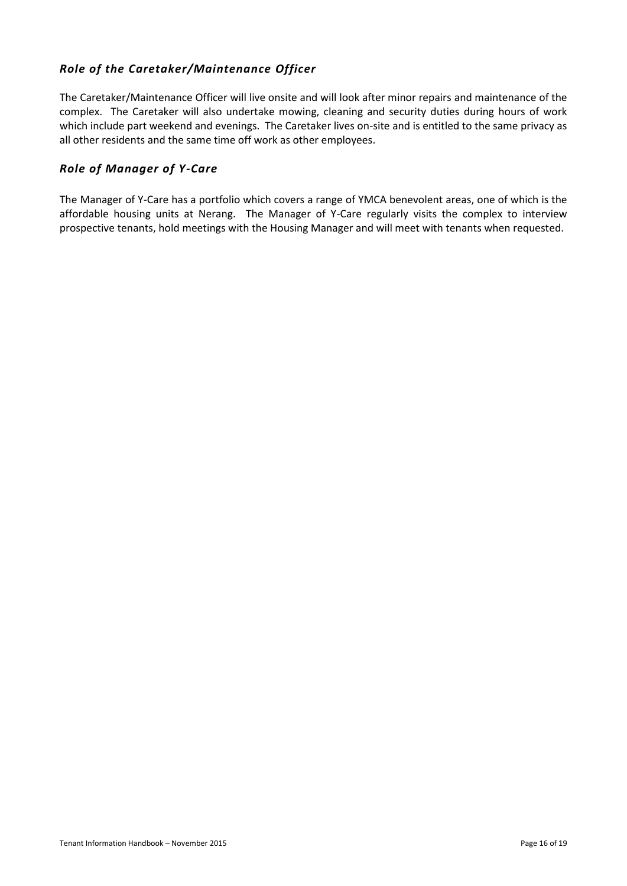# <span id="page-15-0"></span>*Role of the Caretaker/Maintenance Officer*

The Caretaker/Maintenance Officer will live onsite and will look after minor repairs and maintenance of the complex. The Caretaker will also undertake mowing, cleaning and security duties during hours of work which include part weekend and evenings. The Caretaker lives on-site and is entitled to the same privacy as all other residents and the same time off work as other employees.

#### <span id="page-15-1"></span>*Role of Manager of Y-Care*

The Manager of Y-Care has a portfolio which covers a range of YMCA benevolent areas, one of which is the affordable housing units at Nerang. The Manager of Y-Care regularly visits the complex to interview prospective tenants, hold meetings with the Housing Manager and will meet with tenants when requested.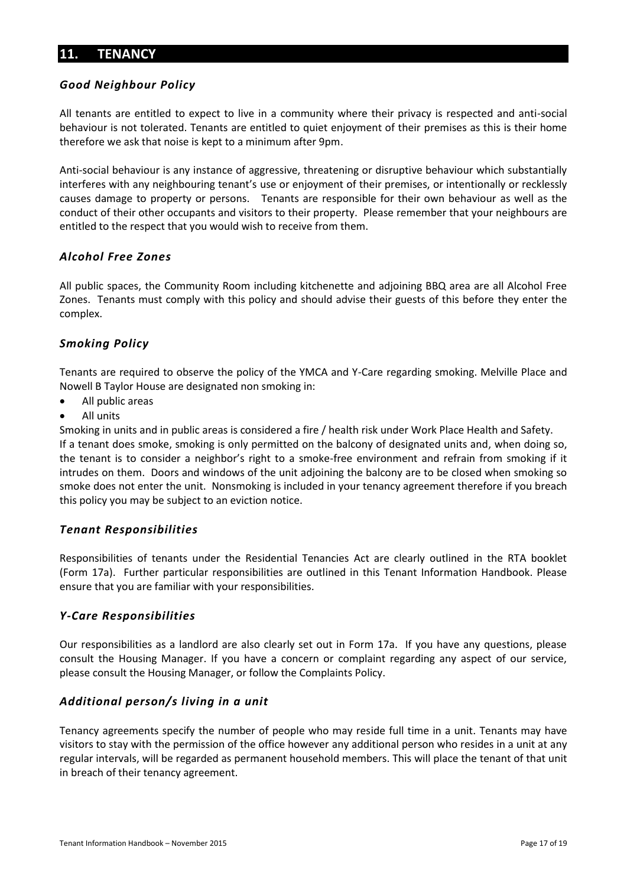# <span id="page-16-0"></span>**11. TENANCY**

#### <span id="page-16-1"></span>*Good Neighbour Policy*

All tenants are entitled to expect to live in a community where their privacy is respected and anti-social behaviour is not tolerated. Tenants are entitled to quiet enjoyment of their premises as this is their home therefore we ask that noise is kept to a minimum after 9pm.

Anti-social behaviour is any instance of aggressive, threatening or disruptive behaviour which substantially interferes with any neighbouring tenant's use or enjoyment of their premises, or intentionally or recklessly causes damage to property or persons. Tenants are responsible for their own behaviour as well as the conduct of their other occupants and visitors to their property. Please remember that your neighbours are entitled to the respect that you would wish to receive from them.

#### <span id="page-16-2"></span>*Alcohol Free Zones*

All public spaces, the Community Room including kitchenette and adjoining BBQ area are all Alcohol Free Zones. Tenants must comply with this policy and should advise their guests of this before they enter the complex.

#### <span id="page-16-3"></span>*Smoking Policy*

Tenants are required to observe the policy of the YMCA and Y-Care regarding smoking. Melville Place and Nowell B Taylor House are designated non smoking in:

- All public areas
- All units

Smoking in units and in public areas is considered a fire / health risk under Work Place Health and Safety. If a tenant does smoke, smoking is only permitted on the balcony of designated units and, when doing so, the tenant is to consider a neighbor's right to a smoke-free environment and refrain from smoking if it intrudes on them. Doors and windows of the unit adjoining the balcony are to be closed when smoking so smoke does not enter the unit. Nonsmoking is included in your tenancy agreement therefore if you breach this policy you may be subject to an eviction notice.

#### <span id="page-16-4"></span>*Tenant Responsibilities*

Responsibilities of tenants under the Residential Tenancies Act are clearly outlined in the RTA booklet (Form 17a). Further particular responsibilities are outlined in this Tenant Information Handbook. Please ensure that you are familiar with your responsibilities.

#### <span id="page-16-5"></span>*Y-Care Responsibilities*

Our responsibilities as a landlord are also clearly set out in Form 17a. If you have any questions, please consult the Housing Manager. If you have a concern or complaint regarding any aspect of our service, please consult the Housing Manager, or follow the Complaints Policy.

#### <span id="page-16-6"></span>*Additional person/s living in a unit*

Tenancy agreements specify the number of people who may reside full time in a unit. Tenants may have visitors to stay with the permission of the office however any additional person who resides in a unit at any regular intervals, will be regarded as permanent household members. This will place the tenant of that unit in breach of their tenancy agreement.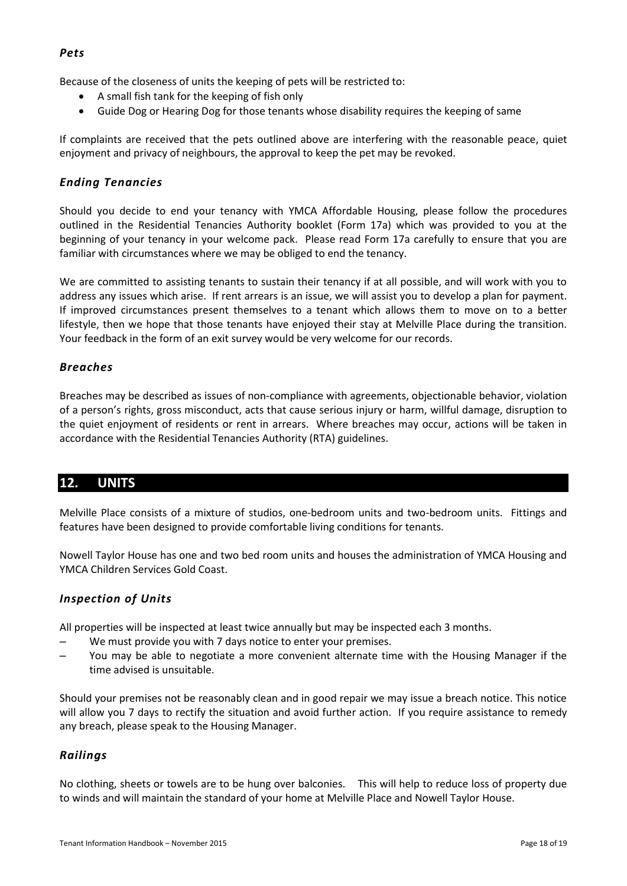#### <span id="page-17-0"></span>*Pets*

Because of the closeness of units the keeping of pets will be restricted to:

- A small fish tank for the keeping of fish only
- Guide Dog or Hearing Dog for those tenants whose disability requires the keeping of same

If complaints are received that the pets outlined above are interfering with the reasonable peace, quiet enjoyment and privacy of neighbours, the approval to keep the pet may be revoked.

# <span id="page-17-1"></span>*Ending Tenancies*

Should you decide to end your tenancy with YMCA Affordable Housing, please follow the procedures outlined in the Residential Tenancies Authority booklet (Form 17a) which was provided to you at the beginning of your tenancy in your welcome pack. Please read Form 17a carefully to ensure that you are familiar with circumstances where we may be obliged to end the tenancy.

We are committed to assisting tenants to sustain their tenancy if at all possible, and will work with you to address any issues which arise. If rent arrears is an issue, we will assist you to develop a plan for payment. If improved circumstances present themselves to a tenant which allows them to move on to a better lifestyle, then we hope that those tenants have enjoyed their stay at Melville Place during the transition. Your feedback in the form of an exit survey would be very welcome for our records.

#### <span id="page-17-2"></span>*Breaches*

Breaches may be described as issues of non-compliance with agreements, objectionable behavior, violation of a person's rights, gross misconduct, acts that cause serious injury or harm, willful damage, disruption to the quiet enjoyment of residents or rent in arrears. Where breaches may occur, actions will be taken in accordance with the Residential Tenancies Authority (RTA) guidelines.

# <span id="page-17-3"></span>**12. UNITS**

Melville Place consists of a mixture of studios, one-bedroom units and two-bedroom units. Fittings and features have been designed to provide comfortable living conditions for tenants.

Nowell Taylor House has one and two bed room units and houses the administration of YMCA Housing and YMCA Children Services Gold Coast.

#### <span id="page-17-4"></span>*Inspection of Units*

All properties will be inspected at least twice annually but may be inspected each 3 months.

- We must provide you with 7 days notice to enter your premises.
- You may be able to negotiate a more convenient alternate time with the Housing Manager if the time advised is unsuitable.

Should your premises not be reasonably clean and in good repair we may issue a breach notice. This notice will allow you 7 days to rectify the situation and avoid further action. If you require assistance to remedy any breach, please speak to the Housing Manager.

# <span id="page-17-5"></span>*Railings*

No clothing, sheets or towels are to be hung over balconies. This will help to reduce loss of property due to winds and will maintain the standard of your home at Melville Place and Nowell Taylor House.